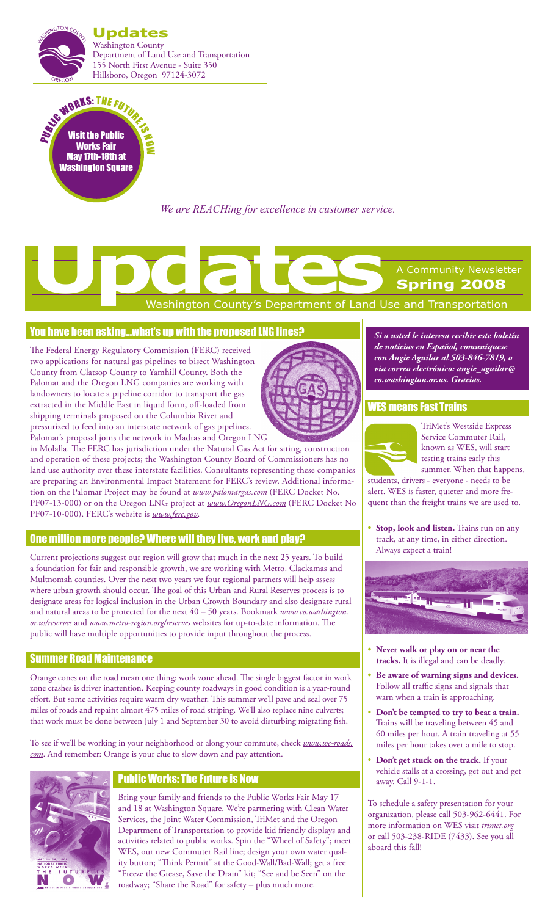



*We are REACHing for excellence in customer service.*

# Washington County's Department of Land Use and Transportation A Community Newsletter **Spring 2008 Updates**<br> **Updates**<br> **Updates**<br> **Washington County's Department of Land Up**

## You have been asking…what's up with the proposed LNG lines?

The Federal Energy Regulatory Commission (FERC) received two applications for natural gas pipelines to bisect Washington County from Clatsop County to Yamhill County. Both the Palomar and the Oregon LNG companies are working with landowners to locate a pipeline corridor to transport the gas extracted in the Middle East in liquid form, off-loaded from shipping terminals proposed on the Columbia River and pressurized to feed into an interstate network of gas pipelines. Palomar's proposal joins the network in Madras and Oregon LNG



## One million more people? Where will they live, work and play?

Current projections suggest our region will grow that much in the next 25 years. To build a foundation for fair and responsible growth, we are working with Metro, Clackamas and Multnomah counties. Over the next two years we four regional partners will help assess where urban growth should occur. The goal of this Urban and Rural Reserves process is to designate areas for logical inclusion in the Urban Growth Boundary and also designate rural and natural areas to be protected for the next 40 – 50 years. Bookmark *www.co.washington. or.us/reserves* and *www.metro-region.org/reserves* websites for up-to-date information. The public will have multiple opportunities to provide input throughout the process.

#### Summer Road Maintenance

Orange cones on the road mean one thing: work zone ahead. The single biggest factor in work zone crashes is driver inattention. Keeping county roadways in good condition is a year-round effort. But some activities require warm dry weather. This summer we'll pave and seal over 75 miles of roads and repaint almost 475 miles of road striping. We'll also replace nine culverts; that work must be done between July 1 and September 30 to avoid disturbing migrating fish.

To see if we'll be working in your neighborhood or along your commute, check *www.wc-roads. com*. And remember: Orange is your clue to slow down and pay attention.



## Public Works: The Future is Now

Bring your family and friends to the Public Works Fair May 17 and 18 at Washington Square. We're partnering with Clean Water Services, the Joint Water Commission, TriMet and the Oregon Department of Transportation to provide kid friendly displays and activities related to public works. Spin the "Wheel of Safety"; meet WES, our new Commuter Rail line; design your own water quality button; "Think Permit" at the Good-Wall/Bad-Wall; get a free "Freeze the Grease, Save the Drain" kit; "See and be Seen" on the roadway; "Share the Road" for safety – plus much more.

*Si a usted le interesa recibir este boletín de noticias en Español, comuníquese con Angie Aguilar al 503-846-7819, o via correo electrónico: angie\_aguilar@ co.washington.or.us. Gracias.*

#### WES means Fast Trains



TriMet's Westside Express Service Commuter Rail, known as WES, will start testing trains early this summer. When that happens,

students, drivers - everyone - needs to be alert. WES is faster, quieter and more frequent than the freight trains we are used to.

**Stop, look and listen.** Trains run on any track, at any time, in either direction. Always expect a train!



- **• Never walk or play on or near the tracks.** It is illegal and can be deadly.
- **• Be aware of warning signs and devices.** Follow all traffic signs and signals that warn when a train is approaching.
- • **Don't be tempted to try to beat a train.** Trains will be traveling between 45 and 60 miles per hour. A train traveling at 55 miles per hour takes over a mile to stop.
- • **Don't get stuck on the track.** If your vehicle stalls at a crossing, get out and get away. Call 9-1-1.

To schedule a safety presentation for your organization, please call 503-962-6441. For more information on WES visit *trimet.org* or call 503-238-RIDE (7433). See you all aboard this fall!